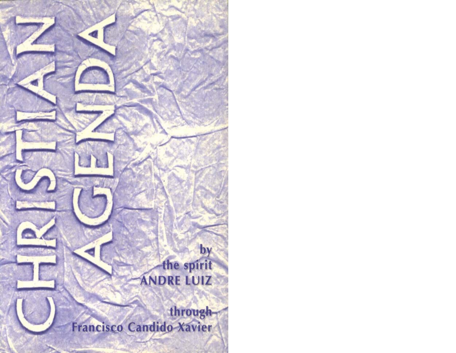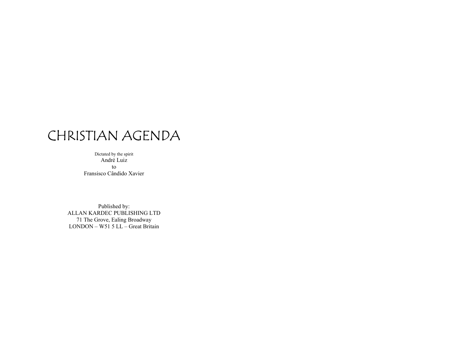## CHRISTIAN AGENDA

Dictated by the spirit André Luiz toFransisco Cândido Xavier

Published by: ALLAN KARDEC PUBLISHING LTD 71 The Grove, Ealing Broadway LONDON – W51 5 LL – Great Britain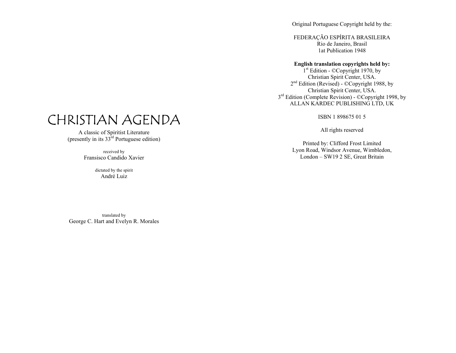Original Portuguese Copyright held by the:

FEDERAÇÃO ESPÍRITA BRASILEIRA Rio de Janeiro, Brasil 1at Publication 1948

#### **English translation copyrights held by:**

1<sup>st</sup> Edition - ©Copyright 1970, by Christian Spirit Center, USA. 2<sup>nd</sup> Edition (Revised) - ©Copyright 1988, by Christian Spirit Center, USA. 3<sup>rd</sup> Edition (Complete Revision) - ©Copyright 1998, by ALLAN KARDEC PUBLISHING LTD, UK

ISBN 1 898675 01 5

All rights reserved

Printed by: Clifford Frost Limited Lyon Road, Windsor Avenue, Wimbledon, London – SW19 2 SE, Great Britain

## CHRISTIAN AGENDA

A classic of Spiritist Literature (presently in its  $33<sup>rd</sup>$  Portuguese edition)

> received by Fransisco Candido Xavier

> > dictated by the spirit André Luiz

translated by George C. Hart and Evelyn R. Morales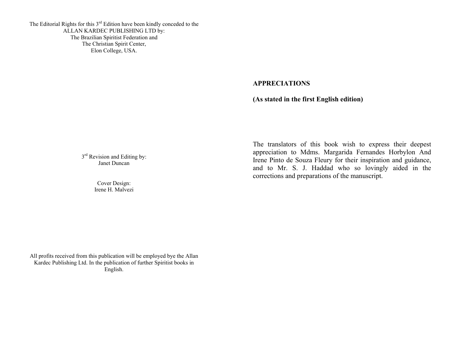The Editorial Rights for this  $3<sup>rd</sup>$  Edition have been kindly conceded to the ALLAN KARDEC PUBLISHING LTD by: The Brazilian Spiritist Federation and The Christian Spirit Center, Elon College, USA.

#### **APPRECIATIONS**

**(As stated in the first English edition)** 

 $3<sup>rd</sup>$  Revision and Editing by: Janet Duncan

> Cover Design: Irene H. Malvezi

The translators of this book wish to express their deepest appreciation to Mdms. Margarida Fernandes Horbylon And Irene Pinto de Souza Fleury for their inspiration and guidance, and to Mr. S. J. Haddad who so lovingly aided in the corrections and preparations of the manuscript.

All profits received from this publication will be employed bye the Allan Kardec Publishing Ltd. In the publication of further Spiritist books in English.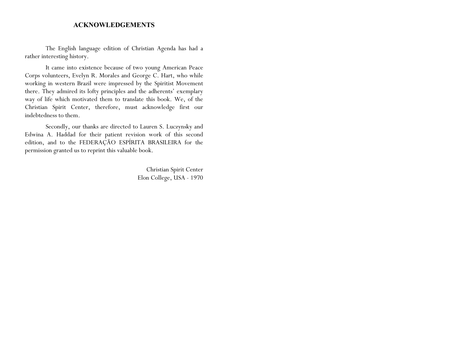#### **ACKNOWLEDGEMENTS**

The English language edition of Christian Agenda has had a rather interesting history.

It came into existence because of two young American Peace Corps volunteers, Evelyn R. Morales and George C. Hart, who while working in western Brazil were impressed by the Spiritist Movement there. They admired its lofty principles and the adherents' exemplary way of life which motivated them to translate this book. We, of the Christian Spirit Center, therefore, must acknowledge first our indebtedness to them.

Secondly, our thanks are directed to Lauren S. Luczynsky and Edwina A. Haddad for their patient revision work of this second edition, and to the FEDERAÇÃO ESPÍRITA BRASILEIRA for the permission granted us to reprint this valuable book.

> Christian Spirit Center Elon College, USA - 1970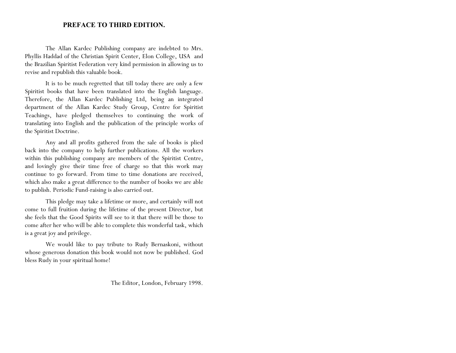#### **PREFACE TO THIRD EDITION.**

The Allan Kardec Publishing company are indebted to Mrs. Phyllis Haddad of the Christian Spirit Center, Elon College, USA and the Brazilian Spiritist Federation very kind permission in allowing us to revise and republish this valuable book.

It is to be much regretted that till today there are only a few Spiritist books that have been translated into the English language. Therefore, the Allan Kardec Publishing Ltd, being an integrated department of the Allan Kardec Study Group, Centre for Spiritist Teachings, have pledged themselves to continuing the work of translating into English and the publication of the principle works of the Spiritist Doctrine.

Any and all profits gathered from the sale of books is plied back into the company to help further publications. All the workers within this publishing company are members of the Spiritist Centre, and lovingly give their time free of charge so that this work may continue to go forward. From time to time donations are received, which also make a great difference to the number of books we are able to publish. Periodic Fund-raising is also carried out.

This pledge may take a lifetime or more, and certainly will not come to full fruition during the lifetime of the present Director, but she feels that the Good Spirits will see to it that there will be those to come after her who will be able to complete this wonderful task, which is a great joy and privilege.

We would like to pay tribute to Rudy Bernaskoni, without whose generous donation this book would not now be published. God bless Rudy in your spiritual home!

The Editor, London, February 1998.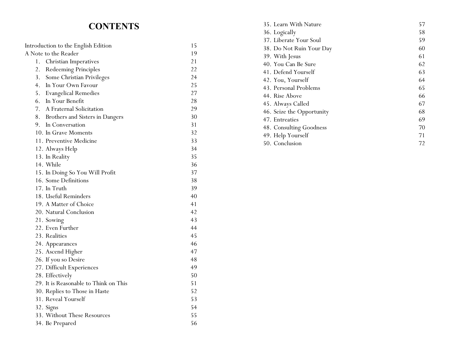### **CONTENTS**

| Introduction to the English Edition |                                       | 15 |
|-------------------------------------|---------------------------------------|----|
| A Note to the Reader                |                                       | 19 |
| 1.                                  | <b>Christian Imperatives</b>          | 21 |
| 2.                                  | Redeeming Principles                  | 22 |
| 3.                                  | Some Christian Privileges             | 24 |
| 4.                                  | In Your Own Favour                    | 25 |
| 5.                                  | <b>Evangelical Remedies</b>           | 27 |
| 6.                                  | In Your Benefit                       | 28 |
| 7.                                  | A Fraternal Solicitation              | 29 |
| 8.                                  | Brothers and Sisters in Dangers       | 30 |
| 9.                                  | In Conversation                       | 31 |
|                                     | 10. In Grave Moments                  | 32 |
|                                     | 11. Preventive Medicine               | 33 |
|                                     | 12. Always Help                       | 34 |
|                                     | 13. In Reality                        | 35 |
|                                     | 14. While                             | 36 |
|                                     | 15. In Doing So You Will Profit       | 37 |
|                                     | 16. Some Definitions                  | 38 |
|                                     | 17. In Truth                          | 39 |
|                                     | 18. Useful Reminders                  | 40 |
|                                     | 19. A Matter of Choice                | 41 |
|                                     | 20. Natural Conclusion                | 42 |
|                                     | 21. Sowing                            | 43 |
|                                     | 22. Even Further                      | 44 |
|                                     | 23. Realities                         | 45 |
|                                     | 24. Appearances                       | 46 |
|                                     | 25. Ascend Higher                     | 47 |
|                                     | 26. If you so Desire                  | 48 |
|                                     | 27. Difficult Experiences             | 49 |
|                                     | 28. Effectively                       | 50 |
|                                     | 29. It is Reasonable to Think on This | 51 |
|                                     | 30. Replies to Those in Haste         | 52 |
|                                     | 31. Reveal Yourself                   | 53 |
|                                     | 32. Signs                             | 54 |
|                                     | 33. Without These Resources           | 55 |
|                                     | 34. Be Prepared                       | 56 |
|                                     |                                       |    |

| 35. Learn With Nature     | 57 |
|---------------------------|----|
| 36. Logically             | 58 |
| 37. Liberate Your Soul    | 59 |
| 38. Do Not Ruin Your Day  | 60 |
| 39. With Jesus            | 61 |
| 40. You Can Be Sure       | 62 |
| 41. Defend Yourself       | 63 |
| 42. You, Yourself         | 64 |
| 43. Personal Problems     | 65 |
| 44. Rise Above            | 66 |
| 45. Always Called         | 67 |
| 46. Seize the Opportunity | 68 |
| 47. Entreaties            | 69 |
| 48. Consulting Goodness   | 70 |
| 49. Help Yourself         | 71 |
| 50. Conclusion            | 72 |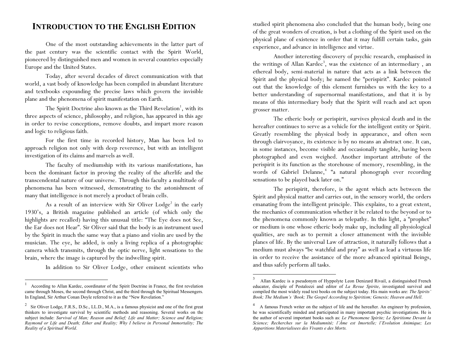### **INTRODUCTION TO THE ENGLISH EDITION**

One of the most outstanding achievements in the latter part of the past century was the scientific contact with the Spirit World, <sup>p</sup>ioneered by distinguished men and women in several countries especially Europe and the United States.

Today, after several decades of direct communication with that world, a vast body of knowledge has been compiled in abundant literature and textbooks expounding the precise laws which govern the invisible plane and the phenomena of spirit manifestation on Earth.

The Spirit Doctrine also known as the Third Revelation<sup>1</sup>, with its three aspects of science, philosophy, and religion, has appeared in this age in order to revise conceptions, remove doubts, and impart more reason and logic to religious faith.

For the first time in recorded history, Man has been led to approach religion not only with deep reverence, but with an intelligent investigation of its claims and marvels as well.

The faculty of mediumship with its various manifestations, has been the dominant factor in proving the reality of the afterlife and the transcendental nature of our universe. Through this faculty a multitude of <sup>p</sup>henomena has been witnessed, demonstrating to the astonishment of many that intelligence is not merely a product of brain cells.

As a result of an interview with Sir Oliver  $Lodge<sup>2</sup>$  in the early 1930's, a British magazine published an article (of which only the highlights are recalled) having this unusual title: "The Eye does not See, the Ear does not Hear". Sir Oliver said that the body is an instrument used by the Spirit in much the same way that a piano and violin are used by the musician. The eye, he added, is only a living replica of a photographic camera which transmits, through the optic nerve, light sensations to the brain, where the image is captured by the indwelling spirit.

In addition to Sir Oliver Lodge, other eminent scientists who

studied spirit phenomena also concluded that the human body, being one of the great wonders of creation, is but a clothing of the Spirit used on the <sup>p</sup>hysical plane of existence in order that it may fulfill certain tasks, gain experience, and advance in intelligence and virtue.

Another interesting discovery of psychic research, emphasised in the writings of Allan Kardec<sup>3</sup>, was the existence of an intermediary, an ethereal body, semi-material in nature that acts as a link between the Spirit and the physical body; he named the "perispirit". Kardec pointed out that the knowledge of this element furnishes us with the key to a better understanding of supernormal manifestations, and that it is by means of this intermediary body that the Spirit will reach and act upon grosser matter.

The etheric body or perispirit, survives physical death and in the hereafter continues to serve as a vehicle for the intelligent entity or Spirit. Greatly resembling the physical body in appearance, and often seen through clairvoyance, its existence is by no means an abstract one. It can, in some instances, become visible and occasionally tangible, having been <sup>p</sup>hotographed and even weighed. Another important attribute of the perispirit is its function as the storehouse of memory, resembling, in the words of Gabriel Delanne,<sup>4</sup> "a natural phonograph ever recording sensations to be played back later on."

The perispirit, therefore, is the agent which acts between the Spirit and physical matter and carries out, in the sensory world, the orders emanating from the intelligent principle. This explains, to a great extent, the mechanics of communication whether it be related to the beyond or to the phenomena commonly known as telepathy. In this light, a "prophet" or medium is one whose etheric body make up, including all physiological qualities, are such as to permit a closer attunement with the invisible <sup>p</sup>lanes of life. By the universal Law of attraction, it naturally follows that a medium must always "be watchful and pray" as well as lead a virtuous life in order to receive the assistance of the more advanced spiritual Beings, and thus safely perform all tasks.

 $1$  According to Allan Kardec, coordinator of the Spirit Doctrine in France, the first revelation came through Moses, the second through Christ, and the third through the Spiritual Messengers. In England, Sir Arthur Conan Doyle referred to it as the "New Revelation."

<sup>&</sup>lt;sup>2</sup> Sir Oliver Lodge, F.R.S., D.Sc., LL.D., M.A., is a famous physicist and one of the first great thinkers to investigate survival by scientific methods and reasoning. Several works on the subject include: *Survival of Man; Reason and Belief; Life and Matter; Science and Religion; Raymond or Life and Death; Ether and Reality; Why I believe in Personal Immortality; The Reality of a Spiritual World*.

<sup>3</sup> Allan Kardec is a pseudonym of Hyppolyte Leon Denizard Rivail, a distinguished French educator, disciple of Pestalozzi and editor of *La Revue Spirite*, investigated survival and compiled the most widely read text books on the subject today. His main works are: *The Spirits Book; The Medium's 'Book; The Gospel According to Spiritism; Genesis; Heaven and Hell*.

<sup>4</sup> A famous French writer on the subject of life and the hereafter. An engineer by profession, he was scientifically minded and participated in many important psychic investigations. He is the author of several important books such as: *Le Phenomene Spirite; Le Spiritisme Devant la Science; Recherches sur la Mediumnité; l'Âme est Imortelle; l'Evolution Animique; Les Apparitions Materialisees des Vivants e des Morts.*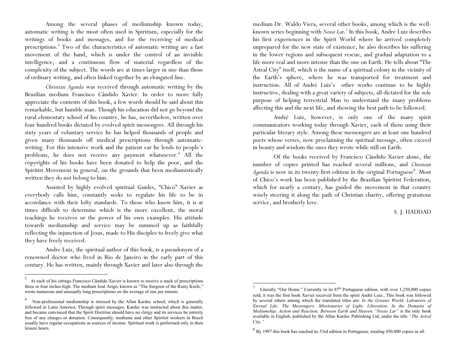Among the several phases of mediumship known today, automatic writing is the most often used in Spiritism, especially for the writings of books and messages, and for the receiving of medical prescriptions.<sup>5</sup> Two of the characteristics of automatic writing are a fast movement of the hand, which is under the control of an invisible intelligence, and a continuous flow of material regardless of the complexity of the subject. The words are at times larger in size than those of ordinary writing, and often linked together by an elongated line.

*Christian Agenda* was received through automatic writing by the Brazilian medium Francisco Cândido Xavier. In order to more fully appreciate the contents of this book, a few words should be said about this remarkable, but humble man. Though his education did not go beyond the rural elementary school of his country, he has, nevertheless, written over four hundred books dictated by evolved spirit messengers. All through his sixty years of voluntary service he has helped thousands of people and given many thousands off medical prescriptions through automaticwriting. For this intensive work and the patient ear he lends to people's problems, he does not receive any payment whatsoever.<sup>6</sup> All the copyrights of his books have been donated to help the poor, and the Spiritist Movement in general, on the grounds that been mediumistically written they do not belong to him.

Assisted by highly evolved spiritual Guides, "Chico" Xavier as everybody calls him, constantly seeks to regulate his life to be in accordance with their lofty standards. To those who know him, it is at times difficult to determine which is the more excellent, the moral teachings he receives or the power of his own examples. His attitude towards mediumship and service may be summed up as faithfully reflecting the injunction of Jesus, made to His disciples to freely give what they have freely received.

Andre Luiz, the spiritual author of this book, is a pseudonym of a renowned doctor who lived in Rio de Janeiro in the early part of this century. He has written, mainly through Xavier and later also through the medium Dr. Waldo Viera, several other books, among which is the wellknown series beginning with *Nosso Lar.<sup>7</sup>* In this book, Andre Luiz describes his first experiences in the Spirit World where he arrived completely unprepared for the new state of existence; he also describes his suffering in the lower regions and subsequent rescue, and gradual adaptation to a life more real and more intense than the one on Earth. He tells about "The Astral City" itself, which is the name of a spiritual colony in the vicinity of the Earth's sphere, where he was transported for treatment and instruction. All of André Luiz's other works continue to be highly instructive, dealing with a great variety of subjects, all dictated for the sole purpose of helping terrestrial Man to understand the many problems affecting this and the next life, and showing the best path to be followed.

André Luiz, however, is only one of the many spirit communicators working today through Xavier, each of them using their particular literary style. Among these messengers are at least one hundred poets whose verses, now proclaiming the spiritual message, often exceed in beauty and wisdom the ones they wrote while still on Earth.

Of the books received by Francisco Cândido Xavier alone, the number of copies printed has reached several millions, and *Christian Agenda* is now in its twenty-first edition in the original Portuguese<sup>8</sup>. Most of Chico's work has been published by the Brazilian Spiritist Federation, which for nearly a century, has guided the movement in that country wisely steering it along the path of Christian charity, offering gratuitous service, and brotherly love.

#### S. J. HADDAD

<sup>5</sup> At each of his sittings Francisco Cândido Xavier is known to receive a stack of prescriptions three or four inches high. The medium José Arigó, known as "The Surgeon of the Rusty Knife," wrote numerous and unusually long prescriptions on the average of one per minute.

<sup>6</sup> Non-professional mediumship is stressed by the Allan Kardec school, which is generally followed in Latin America. Through spirit messages, Kardec was instructed about this matter, and became convinced that the Spirit Doctrine should have no clergy and its services be entirely free of any charges or donation. Consequently, mediums and other Spiritist workers in Brazil usually have regular occupations as sources of income. Spiritual work is performed only in their leisure hours.

<sup>7</sup>Literally "Our Home." Currently in its  $47<sup>th</sup>$  Portuguese edition, with over 1,250,000 copies sold, it was the first book Xavier received from the spirit André Luiz., This book was followed by several others among which the translated titles are: *In the Greater World; Labourers of Eternal Life; The Messengers; Missionaries of Light; Liberation; In the Domains of Mediumship; Action and Reaction; Between Earth and Heaven "Nosso Lar"* is the only book available in English, published by the Allan Kardec Publishing Ltd, under the title *"The Astral City."*

 $8\,$  By 1997 this book has reached its 33rd edition in Portuguese, totaling 450,000 copies in all.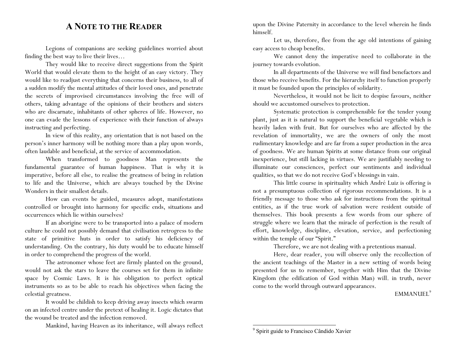### **ANOTE TO THE READER**

Legions of companions are seeking guidelines worried about finding the best way to live their lives…

They would like to receive direct suggestions from the Spirit World that would elevate them to the height of an easy victory. They would like to readjust everything that concerns their business, to all of a sudden modify the mental attitudes of their loved ones, and penetrate the secrets of improvised circumstances involving the free will of others, taking advantage of the opinions of their brothers and sisters who are discarnate, inhabitants of other spheres of life. However, no one can evade the lessons of experience with their function of always instructing and perfecting.

In view of this reality, any orientation that is not based on the person's inner harmony will be nothing more than a play upon words, often laudable and beneficial, at the service of accommodation.

When transformed to goodness Man represents the fundamental guarantee of human happiness. That is why it is imperative, before all else, to realise the greatness of being in relation to life and the Universe, which are always touched by the Divine Wonders in their smallest details.

How can events be guided, measures adopt, manifestations controlled or brought into harmony for specific ends, situations and occurrences which lie within ourselves?

If an aborigine were to be transported into a palace of modern culture he could not possibly demand that civilisation retrogress to the state of primitive huts in order to satisfy his deficiency of understanding. On the contrary, his duty would be to educate himself in order to comprehend the progress of the world.

The astronomer whose feet are firmly planted on the ground, would not ask the stars to leave the courses set for them in infinite space by Cosmic Laws. It is his obligation to perfect optical instruments so as to be able to reach his objectives when facing the celestial greatness.

It would be childish to keep driving away insects which swarm on an infected centre under the pretext of healing it. Logic dictates that the wound be treated and the infection removed.

Mankind, having Heaven as its inheritance, will always reflect

upon the Divine Paternity in accordance to the level wherein he finds himself.

Let us, therefore, flee from the age old intentions of gaining easy access to cheap benefits.

We cannot deny the imperative need to collaborate in the journey towards evolution.

In all departments of the Universe we will find benefactors and those who receive benefits. For the hierarchy itself to function properly it must be founded upon the principles of solidarity.

Nevertheless, it would not be licit to despise favours, neither should we accustomed ourselves to protection.

Systematic protection is comprehensible for the tender young <sup>p</sup>lant, just as it is natural to support the beneficial vegetable which is heavily laden with fruit. But for ourselves who are affected by the revelation of immortality, we are the owners of only the most rudimentary knowledge and are far from a super production in the area of goodness. We are human Spirits at some distance from our original inexperience, but still lacking in virtues. We are justifiably needing to illuminate our consciences, perfect our sentiments and individual qualities, so that we do not receive God's blessings in vain.

This little course in spirituality which André Luiz is offering is not a presumptuous collection of rigorous recommendations. It is a friendly message to those who ask for instructions from the spiritual entities, as if the true work of salvation were resident outside of themselves. This book presents a few words from our sphere of struggle where we learn that the miracle of perfection is the result of effort, knowledge, discipline, elevation, service, and perfectioning within the temple of our "Spirit."

Therefore, we are not dealing with a pretentious manual.

Here, dear reader, you will observe only the recollection of the ancient teachings of the Master in a new setting of words being presented for us to remember, together with Him that the Divine Kingdom (the edification of God within Man) will. in truth, never come to the world through outward appearances.

#### EMMANUEL<sup>9</sup>

<sup>&</sup>lt;sup>9</sup> Spirit guide to Francisco Cândido Xavier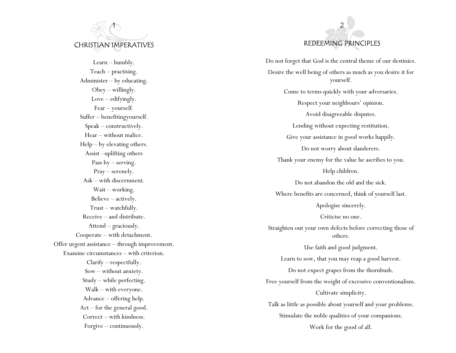## 1 CHRISTIAN IMPERATIVES

Learn – humbly. Teach – practising. Administer – by educating. Obey – willingly. Love – edifyingly. Fear – yourself. Suffer – benefitingyourself. Speak – constructively. Hear – without malice. Help – by elevating others. Assist –uplifting others Pass by – serving. Pray – serenely. Ask – with discernment. Wait – working. Believe – actively. Trust – watchfully. Receive – and distribute. Attend – graciously. Cooperate – with detachment. Offer urgent assistance – through improvement. Examine circumstances – with criterion. Clarify – respectfully. Sow – without anxiety. Study – while perfecting. Walk – with everyone. Advance – offering help. Act – for the general good. Correct – with kindness. Forgive – continuously.



Do not forget that God is the central theme of our destinies. Desire the well being of others as much as you desire it for yourself. Come to terms quickly with your adversaries. Respect your neighbours' opinion. Avoid disagreeable disputes. Lending without expecting restitution. Give your assistance in good works happily. Do not worry about slanderers. Thank your enemy for the value he ascribes to you. Help children. Do not abandon the old and the sick. Where benefits are concerned, think of yourself last. Apologise sincerely. Criticise no one. Straighten out your own defects before correcting those of others. Use faith and good judgment. Learn to sow, that you may reap a good harvest. Do not expect grapes from the thornbush. Free yourself from the weight of excessive conventionalism. Cultivate simplicity. Talk as little as possible about yourself and your problems. Stimulate the noble qualities of your companions. Work for the good of all.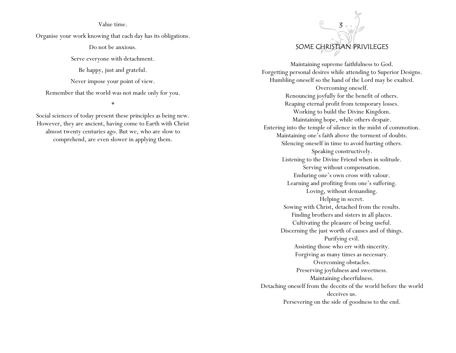#### Value time.

Organise your work knowing that each day has its obligations.

Do not be anxious.

Serve everyone with detachment.

Be happy, just and grateful.

Never impose your point of view.

Remember that the world was not made only for you.

\*

Social sciences of today present these principles as being new. However, they are ancient, having come to Earth with Christ almost twenty centuries ago. But we, who are slow to comprehend, are even slower in applying them.

### $\odot$ 3 SOME CHRISTIAN PRIVILEGES

Maintaining supreme faithfulness to God. Forgetting personal desires while attending to Superior Designs. Humbling oneself so the hand of the Lord may be exalted. Overcoming oneself. Renouncing joyfully for the benefit of others. Reaping eternal profit from temporary losses. Working to build the Divine Kingdom. Maintaining hope, while others despair. Entering into the temple of silence in the midst of commotion. Maintaining one's faith above the torment of doubts. Silencing oneself in time to avoid hurting others. Speaking constructively. Listening to the Divine Friend when in solitude. Serving without compensation. Enduring one's own cross with valour. Learning and profiting from one's suffering. Loving, without demanding. Helping in secret. Sowing with Christ, detached from the results. Finding brothers and sisters in all places. Cultivating the pleasure of being useful. Discerning the just worth of causes and of things. Purifying evil. Assisting those who err with sincerity. Forgiving as many times as necessary. Overcoming obstacles. Preserving joyfulness and sweetness. Maintaining cheerfulness. Detaching oneself from the deceits of the world before the world deceives us. Persevering on the side of goodness to the end.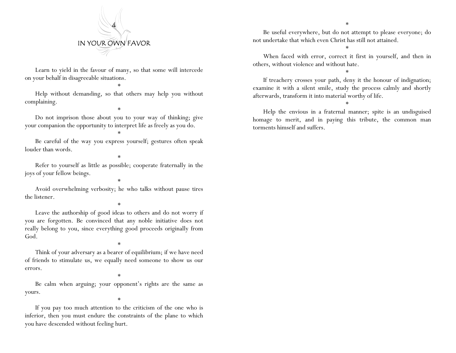

Learn to yield in the favour of many, so that some will intercede on your behalf in disagreeable situations.

\*

\*

\*

\*

\*

Help without demanding, so that others may help you without complaining.

Do not imprison those about you to your way of thinking; give your companion the opportunity to interpret life as freely as you do.

Be careful of the way you express yourself; gestures often speak louder than words.

Refer to yourself as little as possible; cooperate fraternally in the joys of your fellow beings.

Avoid overwhelming verbosity; he who talks without pause tires the listener.

\*

Leave the authorship of good ideas to others and do not worry if you are forgotten. Be convinced that any noble initiative does not really belong to you, since everything good proceeds originally from God.

Think of your adversary as a bearer of equilibrium; if we have need of friends to stimulate us, we equally need someone to show us our errors.

\*

\*

Be calm when arguing; your opponent's rights are the same as yours.

\*

If you pay too much attention to the criticism of the one who is inferior, then you must endure the constraints of the plane to which you have descended without feeling hurt.

\*

Be useful everywhere, but do not attempt to please everyone; do not undertake that which even Christ has still not attained.

\*

When faced with error, correct it first in yourself, and then in others, without violence and without hate.

\*

If treachery crosses your path, deny it the honour of indignation; examine it with a silent smile, study the process calmly and shortly afterwards, transform it into material worthy of life.

\*

Help the envious in a fraternal manner; spite is an undisguised homage to merit, and in paying this tribute, the common man torments himself and suffers.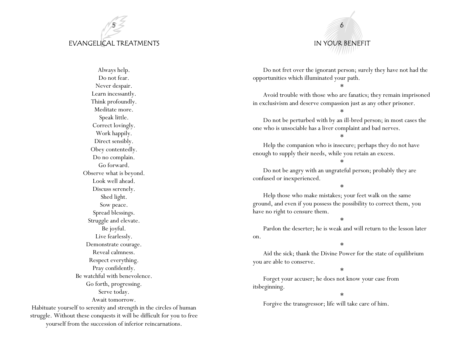### 5 EVANGELICAL TREATMENTS



Habituate yourself to serenity and strength in the circles of human struggle. Without these conquests it will be difficult for you to free yourself from the succession of inferior reincarnations.



Do not fret over the ignorant person; surely they have not had the opportunities which illuminated your path.

\*

Avoid trouble with those who are fanatics; they remain imprisoned in exclusivism and deserve compassion just as any other prisoner.

\*

Do not be perturbed with by an ill-bred person; in most cases the one who is unsociable has a liver complaint and bad nerves.

\*

Help the companion who is insecure; perhaps they do not have enough to supply their needs, while you retain an excess.

\*

Do not be angry with an ungrateful person; probably they are confused or inexperienced.

\*

Help those who make mistakes; your feet walk on the same ground, and even if you possess the possibility to correct them, you have no right to censure them.

\*

Pardon the deserter; he is weak and will return to the lesson later on.

\*

Aid the sick; thank the Divine Power for the state of equilibrium you are able to conserve.

\*

Forget your accuser; he does not know your case from itsbeginning.

\*

Forgive the transgressor; life will take care of him.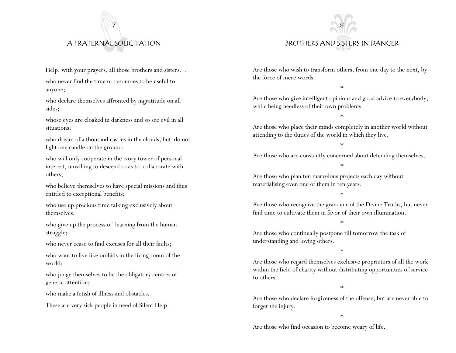### A FRATERNAL SOLICITATION

7

Help, with your prayers, all those brothers and sisters…

who never find the time or resources to be useful to anyone;

who declare themselves affronted by ingratitude on all sides;

whose eyes are cloaked in darkness and so see evil in all situations;

who dream of a thousand castles in the clouds, but do not light one candle on the ground;

who will only cooperate in the ivory tower of personal interest, unwilling to descend so as to collaborate with others;

who believe themselves to have special missions and thus entitled to exceptional benefits;

who use up precious time talking exclusively about themselves;

who give up the process of learning from the human struggle;

who never cease to find excuses for all their faults;

who want to live like orchids in the living room of the world;

who judge themselves to be the obligatory centres of general attention;

who make a fetish of illness and obstacles.

These are very sick people in need of Silent Help.

### 8 BROTHERS AND SISTERS IN DANGER

Are those who wish to transform others, from one day to the next, by the force of mere words.

\*

Are those who give intelligent opinions and good advice to everybody, while being heedless of their own problems.

\*

Are those who place their minds completely in another world without attending to the duties of the world in which they live.

\*

Are those who are constantly concerned about defending themselves.

\*

Are those who plan ten marvelous projects each day without materialising even one of them in ten years.

\*

Are those who recognize the grandeur of the Divine Truths, but never find time to cultivate them in favor of their own illumination.

\*

Are those who continually postpone till tomorrow the task of understanding and loving others.

\*

Are those who regard themselves exclusive proprietors of all the work within the field of charity without distributing opportunities of service to others.

\*

Are those who declare forgiveness of the offense, but are never able to forget the injury.

\*

Are those who find occasion to become weary of life.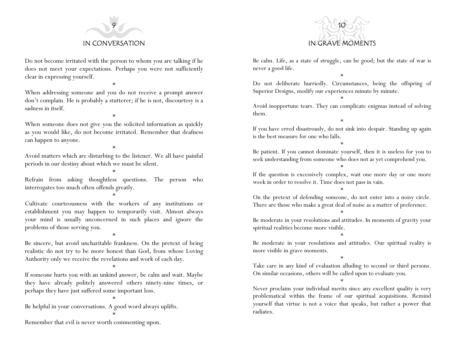

Do not become irritated with the person to whom you are talking if he does not meet your expectations. Perhaps you were not sufficiently clear in expressing yourself.

\*

When addressing someone and you do not receive a prompt answer don't complain. He is probably a stutterer; if he is not, discourtesy is a sadness in itself.

\*

When someone does not give you the solicited information as quickly as you would like, do not become irritated. Remember that deafness can happen to anyone.

\*

Avoid matters which are disturbing to the listener. We all have painful periods in our destiny about which we must be silent.

\*

Refrain from asking thoughtless questions. The person who interrogates too much often offends greatly.

\*

Cultivate courteousness with the workers of any institutions or establishment you may happen to temporarily visit. Almost always your mind is usually unconcerned in such places and ignore the problems of those serving you.

\*

Be sincere, but avoid uncharitable frankness. On the pretext of being realistic do not try to be more honest than God, from whose Loving Authority only we receive the revelations and work of each day.

\*

If someone hurts you with an unkind answer, be calm and wait. Maybe they have already politely answered others ninety-nine times, or perhaps they have just suffered some important loss.

\*

\*

Be helpful in your conversations. A good word always uplifts.

Remember that evil is never worth commenting upon.



Be calm. Life, as a state of struggle, can be good; but the state of war is never a good life.

Do not deliberate hurriedly. Circumstances, being the offspring of Superior Designs, modify our experiences minute by minute. \*

\*

Avoid inopportune tears. They can complicate enigmas instead of solving them.

\* If you have erred disastrously, do not sink into despair. Standing up again is the best measure for one who falls.

Be patient. If you cannot dominate yourself, then it is useless for you to seek understanding from someone who does not as yet comprehend you. \*

\*

If the question is excessively complex, wait one more day or one more week in order to resolve it. Time does not pass in vain.

\*

On the pretext of defending someone, do not enter into a noisy circle. There are those who make a great deal of noise as a matter of preference.

\*

Be moderate in your resolutions and attitudes. In moments of gravity your spiritual realities become more visible. \*

Be moderate in your resolutions and attitudes. Our spiritual reality is more visible in grave moments.

\* Take care in any kind of evaluation alluding to second or third persons. On similar occasions, others will be called upon to evaluate you.

\*

Never proclaim your individual merits since any excellent quality is very problematical within the frame of our spiritual acquisitions. Remind yourself that virtue is not a voice that speaks, but rather a power that radiates.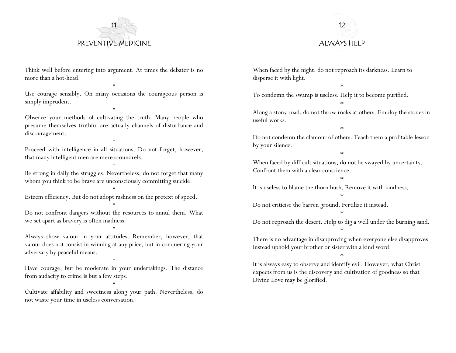



Think well before entering into argument. At times the debater is no more than a hot-head. \*

Use courage sensibly. On many occasions the courageous person is simply imprudent. \*

Observe your methods of cultivating the truth. Many people who presume themselves truthful are actually channels of disturbance and discouragement.

\* Proceed with intelligence in all situations. Do not forget, however, that many intelligent men are mere scoundrels.

\* Be strong in daily the struggles. Nevertheless, do not forget that many whom you think to be brave are unconsciously committing suicide.

\*

Esteem efficiency. But do not adopt rashness on the pretext of speed. \*

Do not confront dangers without the resources to annul them. What we set apart as bravery is often madness.

\*

Always show valour in your attitudes. Remember, however, that valour does not consist in winning at any price, but in conquering your adversary by peaceful means.

Have courage, but be moderate in your undertakings. The distance from audacity to crime is but a few steps.

\*

\*

Cultivate affability and sweetness along your path. Nevertheless, do not waste your time in useless conversation.

When faced by the night, do not reproach its darkness. Learn to disperse it with light.

\*

To condemn the swamp is useless. Help it to become purified.

Along a stony road, do not throw rocks at others. Employ the stones in useful works.

\*

\*

Do not condemn the clamour of others. Teach them a profitable lesson by your silence.

\*

When faced by difficult situations, do not be swayed by uncertainty. Confront them with a clear conscience.

\*

It is useless to blame the thorn bush. Remove it with kindness.

\*

Do not criticise the barren ground. Fertilize it instead.

\*

Do not reproach the desert. Help to dig a well under the burning sand. \*

There is no advantage in disapproving when everyone else disapproves. Instead uphold your brother or sister with a kind word.

\*

It is always easy to observe and identify evil. However, what Christ expects from us is the discovery and cultivation of goodness so that Divine Love may be glorified.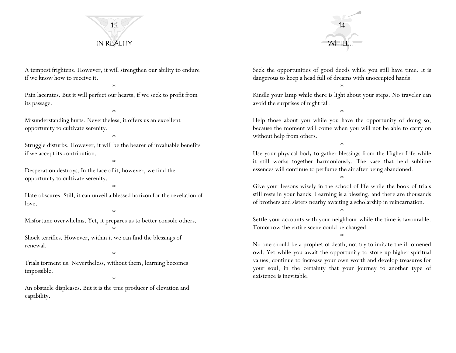



A tempest frightens. However, it will strengthen our ability to endure if we know how to receive it.

\*

Pain lacerates. But it will perfect our hearts, if we seek to profit from its passage.

Misunderstanding hurts. Nevertheless, it offers us an excellent opportunity to cultivate serenity.

\*

\*

Struggle disturbs. However, it will be the bearer of invaluable benefits if we accept its contribution.

\*

Desperation destroys. In the face of it, however, we find the opportunity to cultivate serenity.

#### \*

Hate obscures. Still, it can unveil a blessed horizon for the revelation of love.

#### \*

Misfortune overwhelms. Yet, it prepares us to better console others.

Shock terrifies. However, within it we can find the blessings of renewal.

\*

\*

Trials torment us. Nevertheless, without them, learning becomes impossible.

\*

An obstacle displeases. But it is the true producer of elevation and capability.

Seek the opportunities of good deeds while you still have time. It is dangerous to keep a head full of dreams with unoccupied hands.

\*

Kindle your lamp while there is light about your steps. No traveler can avoid the surprises of night fall.

\*

Help those about you while you have the opportunity of doing so, because the moment will come when you will not be able to carry on without help from others.

\*

Use your physical body to gather blessings from the Higher Life while it still works together harmoniously. The vase that held sublime essences will continue to perfume the air after being abandoned.

\*

Give your lessons wisely in the school of life while the book of trials still rests in your hands. Learning is a blessing, and there are thousands of brothers and sisters nearby awaiting a scholarship in reincarnation.

\*

Settle your accounts with your neighbour while the time is favourable. Tomorrow the entire scene could be changed.

\*

No one should be a prophet of death, not try to imitate the ill-omened owl. Yet while you await the opportunity to store up higher spiritual values, continue to increase your own worth and develop treasures for your soul, in the certainty that your journey to another type of existence is inevitable.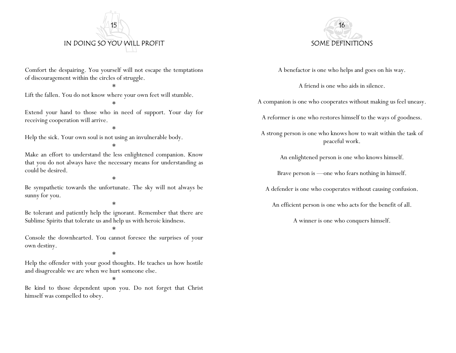

Comfort the despairing. You yourself will not escape the temptations of discouragement within the circles of struggle.

\*

Lift the fallen. You do not know where your own feet will stumble.

Extend your hand to those who in need of support. Your day for receiving cooperation will arrive.

\*

\*

Help the sick. Your own soul is not using an invulnerable body.

\*

Make an effort to understand the less enlightened companion. Know that you do not always have the necessary means for understanding as could be desired.

\*

Be sympathetic towards the unfortunate. The sky will not always be sunny for you.

\*

Be tolerant and patiently help the ignorant. Remember that there are Sublime Spirits that tolerate us and help us with heroic kindness.

\*

Console the downhearted. You cannot foresee the surprises of your own destiny.

\*

Help the offender with your good thoughts. He teaches us how hostile and disagreeable we are when we hurt someone else.

\*

Be kind to those dependent upon you. Do not forget that Christ himself was compelled to obey.



A benefactor is one who helps and goes on his way.

A friend is one who aids in silence.

A companion is one who cooperates without making us feel uneasy.

A reformer is one who restores himself to the ways of goodness.

A strong person is one who knows how to wait within the task of peaceful work.

An enlightened person is one who knows himself.

Brave person is —one who fears nothing in himself.

A defender is one who cooperates without causing confusion.

An efficient person is one who acts for the benefit of all.

A winner is one who conquers himself.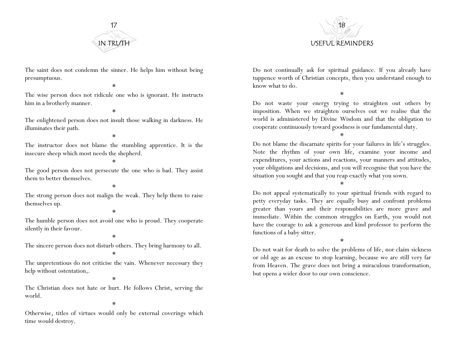

The saint does not condemn the sinner. He helps him without being presumptuous.

\*

The wise person does not ridicule one who is ignorant. He instructs him in a brotherly manner.

\*

The enlightened person does not insult those walking in darkness. He illuminates their path.

\*

The instructor does not blame the stumbling apprentice. It is the insecure sheep which most needs the shepherd.

\*

The good person does not persecute the one who is bad. They assist them to better themselves.

#### \*

The strong person does not malign the weak. They help them to raise themselves up.

#### \*

The humble person does not avoid one who is proud. They cooperate silently in their favour.

\*

The sincere person does not disturb others. They bring harmony to all.

\*

The unpretentious do not criticise the vain. Whenever necessary they help without ostentation,.

\*

The Christian does not hate or hurt. He follows Christ, serving the world.

\*

Otherwise, titles of virtues would only be external coverings which time would destroy.



Do not continually ask for spiritual guidance. If you already have tuppence worth of Christian concepts, then you understand enough to know what to do.

\*

Do not waste your energy trying to straighten out others by imposition. When we straighten ourselves out we realise that the world is administered by Divine Wisdom and that the obligation to cooperate continuously toward goodness is our fundamental duty.

\*

Do not blame the discarnate spirits for your failures in life's struggles. Note the rhythm of your own life, examine your income and expenditures, your actions and reactions, your manners and attitudes, your obligations and decisions, and you will recognise that you have the situation you sought and that you reap exactly what you sown.

\*

Do not appeal systematically to your spiritual friends with regard to petty everyday tasks. They are equally busy and confront problems greater than yours and their responsibilities are more grave and immediate. Within the common struggles on Earth, you would not have the courage to ask a generous and kind professor to perform the functions of a baby sitter.

\*

Do not wait for death to solve the problems of life, nor claim sickness or old age as an excuse to stop learning, because we are still very far from Heaven. The grave does not bring a miraculous transformation, but opens a wider door to our own conscience.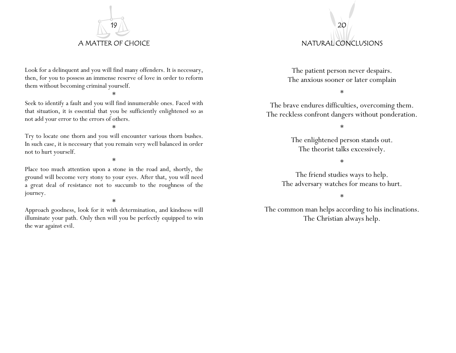

Look for a delinquent and you will find many offenders. It is necessary, then, for you to possess an immense reserve of love in order to reform them without becoming criminal yourself.

\*

Seek to identify a fault and you will find innumerable ones. Faced with that situation, it is essential that you be sufficiently enlightened so as not add your error to the errors of others.

\*

Try to locate one thorn and you will encounter various thorn bushes. In such case, it is necessary that you remain very well balanced in order not to hurt yourself.

\*

Place too much attention upon a stone in the road and, shortly, the ground will become very stony to your eyes. After that, you will need a great deal of resistance not to succumb to the roughness of the journey.

\*

Approach goodness, look for it with determination, and kindness will illuminate your path. Only then will you be perfectly equipped to win the war against evil.

# 20 NATURAL CONCLUSIONS

The patient person never despairs. The anxious sooner or later complain

\*

The brave endures difficulties, overcoming them. The reckless confront dangers without ponderation.

\*

The enlightened person stands out. The theorist talks excessively.

\*

The friend studies ways to help. The adversary watches for means to hurt.

\*

The common man helps according to his inclinations. The Christian always help.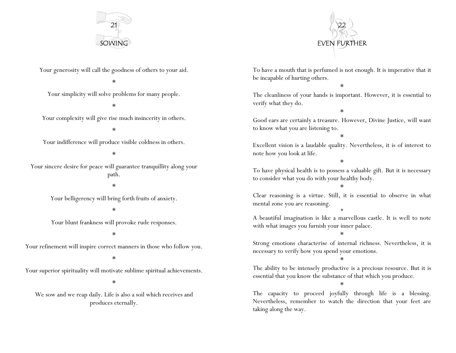



Your generosity will call the goodness of others to your aid.

\*

Your simplicity will solve problems for many people.

\*

Your complexity will give rise much insincerity in others.

\*

Your indifference will produce visible coldness in others.

\*

Your sincere desire for peace will guarantee tranquillity along your path. \*

Your belligerency will bring forth fruits of anxiety.

#### \*

Your blunt frankness will provoke rude responses.

\*

Your refinement will inspire correct manners in those who follow you.

\*

Your superior spirituality will motivate sublime spiritual achievements.

#### \*

We sow and we reap daily. Life is also a soil which receives and produces eternally.

To have a mouth that is perfumed is not enough. It is imperative that it be incapable of hurting others.

\*

The cleanliness of your hands is important. However, it is essential to verify what they do.

Good ears are certainly a treasure. However, Divine Justice, will want to know what you are listening to.

\*

\* Excellent vision is a laudable quality. Nevertheless, it is of interest to note how you look at life.

\*

To have physical health is to possess a valuable gift. But it is necessary to consider what you do with your healthy body.

\*

Clear reasoning is a virtue. Still, it is essential to observe in what mental zone you are reasoning. \*

A beautiful imagination is like a marvellous castle. It is well to note with what images you furnish your inner palace.

\*

Strong emotions characterise of internal richness. Nevertheless, it is necessary to verify how you spend your emotions.

\*

The ability to be intensely productive is a precious resource. But it is essential that you know the substance of that which you produce.

\*

The capacity to proceed joyfully through life is a blessing. Nevertheless, remember to watch the direction that your feet are taking along the way.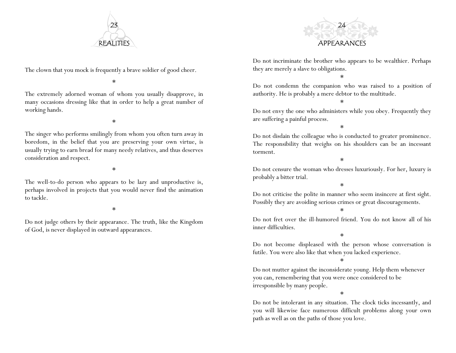

The clown that you mock is frequently a brave soldier of good cheer.

\*

The extremely adorned woman of whom you usually disapprove, in many occasions dressing like that in order to help a great number of working hands.

\*

The singer who performs smilingly from whom you often turn away in boredom, in the belief that you are preserving your own virtue, is usually trying to earn bread for many needy relatives, and thus deserves consideration and respect.

\*

The well-to-do person who appears to be lazy and unproductive is, perhaps involved in projects that you would never find the animation to tackle.

\*

Do not judge others by their appearance. The truth, like the Kingdom of God, is never displayed in outward appearances.



Do not incriminate the brother who appears to be wealthier. Perhaps they are merely a slave to obligations.

\*

Do not condemn the companion who was raised to a position of authority. He is probably a mere debtor to the multitude.

\*

Do not envy the one who administers while you obey. Frequently they are suffering a painful process.

\*

Do not disdain the colleague who is conducted to greater prominence. The responsibility that weighs on his shoulders can be an incessant torment.

\*

Do not censure the woman who dresses luxuriously. For her, luxury is probably a bitter trial.

\*

Do not criticise the polite in manner who seem insincere at first sight. Possibly they are avoiding serious crimes or great discouragements.

\*

Do not fret over the ill-humored friend. You do not know all of his inner difficulties.

\*

Do not become displeased with the person whose conversation is futile. You were also like that when you lacked experience.

\*

Do not mutter against the inconsiderate young. Help them whenever you can, remembering that you were once considered to be irresponsible by many people.

\*

Do not be intolerant in any situation. The clock ticks incessantly, and you will likewise face numerous difficult problems along your own path as well as on the paths of those you love.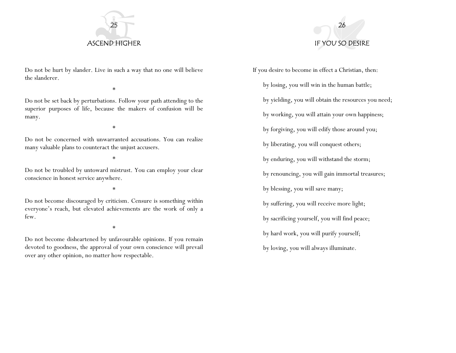

Do not be hurt by slander. Live in such a way that no one will believe the slanderer.

\*

Do not be set back by perturbations. Follow your path attending to the superior purposes of life, because the makers of confusion will be many.

\*

Do not be concerned with unwarranted accusations. You can realize many valuable plans to counteract the unjust accusers.

\*

Do not be troubled by untoward mistrust. You can employ your clear conscience in honest service anywhere.

\*

Do not become discouraged by criticism. Censure is something within everyone's reach, but elevated achievements are the work of only a few.

\*

Do not become disheartened by unfavourable opinions. If you remain devoted to goodness, the approval of your own conscience will prevail over any other opinion, no matter how respectable.



If you desire to become in effect a Christian, then: by losing, you will win in the human battle; by yielding, you will obtain the resources you need; by working, you will attain your own happiness; by forgiving, you will edify those around you; by liberating, you will conquest others; by enduring, you will withstand the storm; by renouncing, you will gain immortal treasures; by blessing, you will save many; by suffering, you will receive more light; by sacrificing yourself, you will find peace; by hard work, you will purify yourself; by loving, you will always illuminate.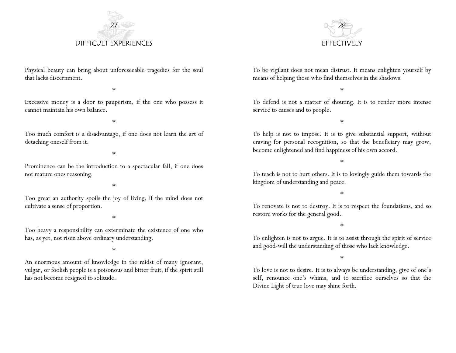



Physical beauty can bring about unforeseeable tragedies for the soul that lacks discernment.

\*

Excessive money is a door to pauperism, if the one who possess it cannot maintain his own balance.

\*

Too much comfort is a disadvantage, if one does not learn the art of detaching oneself from it.

\*

Prominence can be the introduction to a spectacular fall, if one does not mature ones reasoning.

\*

Too great an authority spoils the joy of living, if the mind does not cultivate a sense of proportion.

\*

Too heavy a responsibility can exterminate the existence of one who has, as yet, not risen above ordinary understanding.

\*

An enormous amount of knowledge in the midst of many ignorant, vulgar, or foolish people is a poisonous and bitter fruit, if the spirit still has not become resigned to solitude.

To be vigilant does not mean distrust. It means enlighten yourself by means of helping those who find themselves in the shadows.

\*

To defend is not a matter of shouting. It is to render more intense service to causes and to people.

\*

To help is not to impose. It is to give substantial support, without craving for personal recognition, so that the beneficiary may grow, become enlightened and find happiness of his own accord.

\*

To teach is not to hurt others. It is to lovingly guide them towards the kingdom of understanding and peace.

\*

To renovate is not to destroy. It is to respect the foundations, and so restore works for the general good.

\*

To enlighten is not to argue. It is to assist through the spirit of service and good-will the understanding of those who lack knowledge.

\*

To love is not to desire. It is to always be understanding, give of one's self, renounce one's whims, and to sacrifice ourselves so that the Divine Light of true love may shine forth.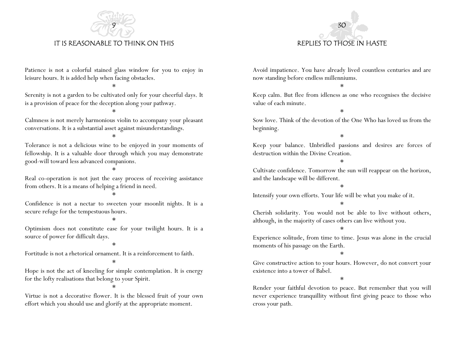

IT IS REASONABLE TO THINK ON THIS

Patience is not a colorful stained glass window for you to enjoy in leisure hours. It is added help when facing obstacles.

\*

Serenity is not a garden to be cultivated only for your cheerful days. It is a provision of peace for the deception along your pathway.

\*

Calmness is not merely harmonious violin to accompany your pleasant conversations. It is a substantial asset against misunderstandings.

\*

Tolerance is not a delicious wine to be enjoyed in your moments of fellowship. It is a valuable door through which you may demonstrate good-will toward less advanced companions.

\*

Real co-operation is not just the easy process of receiving assistance from others. It is a means of helping a friend in need.

\*

Confidence is not a nectar to sweeten your moonlit nights. It is a secure refuge for the tempestuous hours.

\*

Optimism does not constitute ease for your twilight hours. It is a source of power for difficult days.

\*

Fortitude is not a rhetorical ornament. It is a reinforcement to faith.

\*

Hope is not the act of kneeling for simple contemplation. It is energy for the lofty realisations that belong to your Spirit.

\*

Virtue is not a decorative flower. It is the blessed fruit of your own effort which you should use and glorify at the appropriate moment.

Avoid impatience. You have already lived countless centuries and are now standing before endless millenniums.

30

REPLIES TO THOSE IN HASTE

\*

Keep calm. But flee from idleness as one who recognises the decisive value of each minute.

\*

Sow love. Think of the devotion of the One Who has loved us from the beginning.

\*

Keep your balance. Unbridled passions and desires are forces of destruction within the Divine Creation.

\*

Cultivate confidence. Tomorrow the sun will reappear on the horizon, and the landscape will be different.

\*

Intensify your own efforts. Your life will be what you make of it.

\*

Cherish solidarity. You would not be able to live without others, although, in the majority of cases others can live without you.

\*

Experience solitude, from time to time. Jesus was alone in the crucial moments of his passage on the Earth.

\*

Give constructive action to your hours. However, do not convert your existence into a tower of Babel.

\*

Render your faithful devotion to peace. But remember that you will never experience tranquillity without first giving peace to those who cross your path.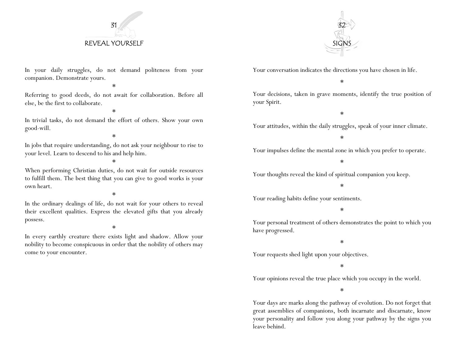## 31 REVEAL YOURSELF



Your conversation indicates the directions you have chosen in life.

\*

Your decisions, taken in grave moments, identify the true position of your Spirit.

\*

Your attitudes, within the daily struggles, speak of your inner climate.

\*

Your impulses define the mental zone in which you prefer to operate.

\*

Your thoughts reveal the kind of spiritual companion you keep.

\*

Your reading habits define your sentiments.

\*

Your personal treatment of others demonstrates the point to which you have progressed.

#### \*

Your requests shed light upon your objectives.

\*

Your opinions reveal the true place which you occupy in the world.

\*

Your days are marks along the pathway of evolution. Do not forget that great assemblies of companions, both incarnate and discarnate, know your personality and follow you along your pathway by the signs you leave behind.

In your daily struggles, do not demand politeness from your companion. Demonstrate yours.

\*

Referring to good deeds, do not await for collaboration. Before all else, be the first to collaborate.

\*

In trivial tasks, do not demand the effort of others. Show your own good-will.

\*

In jobs that require understanding, do not ask your neighbour to rise to your level. Learn to descend to his and help him.

\*

When performing Christian duties, do not wait for outside resources to fulfill them. The best thing that you can give to good works is your own heart.

\*

In the ordinary dealings of life, do not wait for your others to reveal their excellent qualities. Express the elevated gifts that you already possess.

#### \*

In every earthly creature there exists light and shadow. Allow your nobility to become conspicuous in order that the nobility of others may come to your encounter.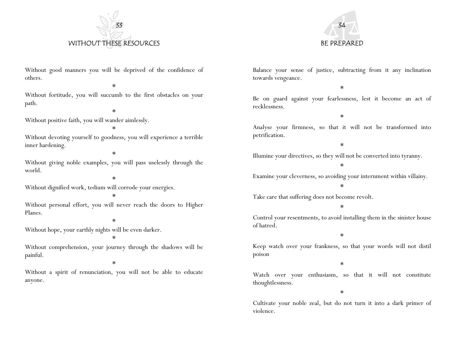



Without good manners you will be deprived of the confidence of others.

\*

Without fortitude, you will succumb to the first obstacles on your path.

\*

Without positive faith, you will wander aimlessly.

\*

Without devoting yourself to goodness, you will experience a terrible inner hardening.

\*

Without giving noble examples, you will pass uselessly through the world.

\*

Without dignified work, tedium will corrode your energies.

\* Without personal effort, you will never reach the doors to Higher Planes.

\*

Without hope, your earthly nights will be even darker.

\*

Without comprehension, your journey through the shadows will be painful.

\*

Without a spirit of renunciation, you will not be able to educate anyone.

Balance your sense of justice, subtracting from it any inclination towards vengeance.

\*

Be on guard against your fearlessness, lest it become an act of recklessness.

\*

Analyse your firmness, so that it will not be transformed into petrification.

\*

Illumine your directives, so they will not be converted into tyranny.

\*

Examine your cleverness, so avoiding your internment within villainy.

\*

Take care that suffering does not become revolt.

\*

Control your resentments, to avoid installing them in the sinister house of hatred.

\*

Keep watch over your frankness, so that your words will not distil poison

\*

Watch over your enthusiasm, so that it will not constitute thoughtlessness.

\*

Cultivate your noble zeal, but do not turn it into a dark primer of violence.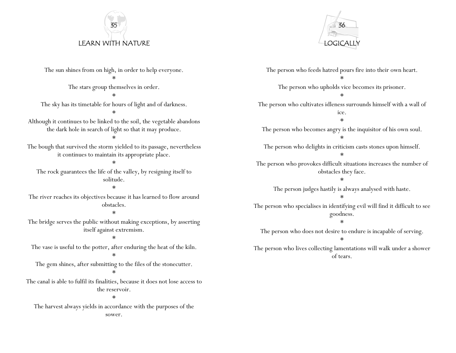# 35 LEARN WITH NATURE



\* \* \* \* \* solitude. \* obstacles. \* \* \* \* the reservoir. \* The person who feeds hatred pours fire into their own heart. \* The person who upholds vice becomes its prisoner. \* The person who cultivates idleness surrounds himself with a wall of ice. \* The person who becomes angry is the inquisitor of his own soul. \* The person who delights in criticism casts stones upon himself. \* The person who provokes difficult situations increases the number of obstacles they face. \* The person judges hastily is always analysed with haste. \* The person who specialises in identifying evil will find it difficult to see goodness. \* The person who does not desire to endure is incapable of serving. \* The person who lives collecting lamentations will walk under a shower of tears.

The sun shines from on high, in order to help everyone.

The stars group themselves in order.

The sky has its timetable for hours of light and of darkness.

Although it continues to be linked to the soil, the vegetable abandons the dark hole in search of light so that it may produce.

The bough that survived the storm yielded to its passage, nevertheless it continues to maintain its appropriate place.

The rock guarantees the life of the valley, by resigning itself to

The river reaches its objectives because it has learned to flow around

The bridge serves the public without making exceptions, by asserting itself against extremism.

The vase is useful to the potter, after enduring the heat of the kiln.

The gem shines, after submitting to the files of the stonecutter.

The canal is able to fulfil its finalities, because it does not lose access to

The harvest always yields in accordance with the purposes of the sower.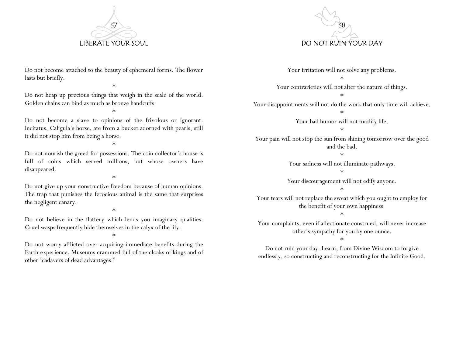

Do not become attached to the beauty of ephemeral forms. The flower lasts but briefly.

\*

Do not heap up precious things that weigh in the scale of the world. Golden chains can bind as much as bronze handcuffs.

\*

Do not become a slave to opinions of the frivolous or ignorant. Incitatus, Caligula's horse, ate from a bucket adorned with pearls, still it did not stop him from being a horse.

\*

Do not nourish the greed for possessions. The coin collector's house is full of coins which served millions, but whose owners have disappeared.

\*

Do not give up your constructive freedom because of human opinions. The trap that punishes the ferocious animal is the same that surprises the negligent canary.

\*

Do not believe in the flattery which lends you imaginary qualities. Cruel wasps frequently hide themselves in the calyx of the lily.

\*

Do not worry afflicted over acquiring immediate benefits during the Earth experience. Museums crammed full of the cloaks of kings and of other "cadavers of dead advantages."



Your irritation will not solve any problems. \*

Your contrarieties will not alter the nature of things.

\*

Your disappointments will not do the work that only time will achieve. \*

Your bad humor will not modify life.

\*

Your pain will not stop the sun from shining tomorrow over the good and the bad.

\*

Your sadness will not illuminate pathways.

\*

Your discouragement will not edify anyone.

\*

Your tears will not replace the sweat which you ought to employ for the benefit of your own happiness.

\*

Your complaints, even if affectionate construed, will never increase other's sympathy for you by one ounce.

\*

Do not ruin your day. Learn, from Divine Wisdom to forgive endlessly, so constructing and reconstructing for the Infinite Good.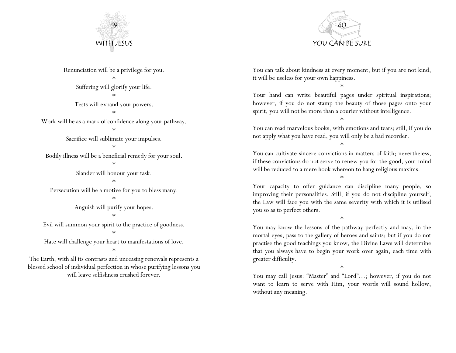



Renunciation will be a privilege for you. \* Suffering will glorify your life. \* Tests will expand your powers. \* Work will be as a mark of confidence along your pathway. \* Sacrifice will sublimate your impulses. \* Bodily illness will be a beneficial remedy for your soul. \* Slander will honour your task. \* Persecution will be a motive for you to bless many. \* Anguish will purify your hopes. \* Evil will summon your spirit to the practice of goodness. \* Hate will challenge your heart to manifestations of love.

\*

The Earth, with all its contrasts and unceasing renewals represents a blessed school of individual perfection in whose purifying lessons you will leave selfishness crushed forever.

You can talk about kindness at every moment, but if you are not kind, it will be useless for your own happiness.

\*

Your hand can write beautiful pages under spiritual inspirations; however, if you do not stamp the beauty of those pages onto your spirit, you will not be more than a courier without intelligence.

You can read marvelous books, with emotions and tears; still, if you do not apply what you have read, you will only be a bad recorder.

\*

\*

You can cultivate sincere convictions in matters of faith; nevertheless, if these convictions do not serve to renew you for the good, your mind will be reduced to a mere hook whereon to hang religious maxims.

\* Your capacity to offer guidance can discipline many people, so improving their personalities. Still, if you do not discipline yourself, the Law will face you with the same severity with which it is utilised you so as to perfect others.

\*

You may know the lessons of the pathway perfectly and may, in the mortal eyes, pass to the gallery of heroes and saints; but if you do not practise the good teachings you know, the Divine Laws will determine that you always have to begin your work over again, each time with greater difficulty.

\*

You may call Jesus: "Master" and "Lord"…; however, if you do not want to learn to serve with Him, your words will sound hollow, without any meaning.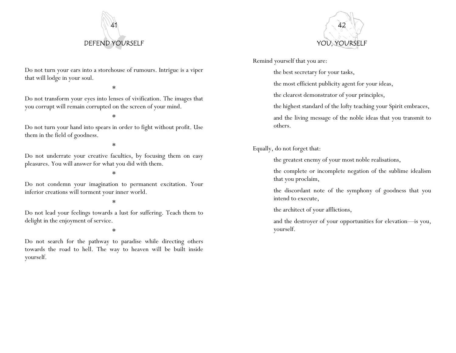



Remind yourself that you are:

the best secretary for your tasks,

the most efficient publicity agent for your ideas,

the clearest demonstrator of your principles,

the highest standard of the lofty teaching your Spirit embraces,

and the living message of the noble ideas that you transmit to others.

Equally, do not forget that:

the greatest enemy of your most noble realisations,

the complete or incomplete negation of the sublime idealism that you proclaim,

the discordant note of the symphony of goodness that you intend to execute,

the architect of your afflictions,

and the destroyer of your opportunities for elevation—is you, yourself.

Do not turn your ears into a storehouse of rumours. Intrigue is a viper that will lodge in your soul.

\*

Do not transform your eyes into lenses of vivification. The images that you corrupt will remain corrupted on the screen of your mind.

#### \*

Do not turn your hand into spears in order to fight without profit. Use them in the field of goodness.

#### \*

Do not underrate your creative faculties, by focusing them on easy <sup>p</sup>leasures. You will answer for what you did with them.

#### \*

Do not condemn your imagination to permanent excitation. Your inferior creations will torment your inner world.

#### \*

Do not lead your feelings towards a lust for suffering. Teach them to delight in the enjoyment of service.

#### \*

Do not search for the pathway to paradise while directing others towards the road to hell. The way to heaven will be built inside yourself.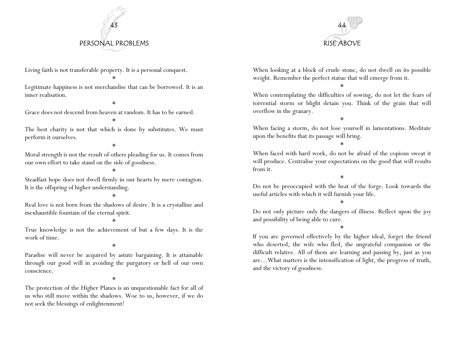# 43 PERSONAL PROBLEMS



Living faith is not transferable property. It is a personal conquest.

\*

Legitimate happiness is not merchandise that can be borrowed. It is an inner realisation.

\*

Grace does not descend from heaven at random. It has to be earned.

\*

The best charity is not that which is done by substitutes. We must perform it ourselves.

\*

Moral strength is not the result of others pleading for us. It comes from our own effort to take stand on the side of goodness.

\*

Steadfast hope does not dwell firmly in our hearts by mere contagion. It is the offspring of higher understanding.

\*

Real love is not born from the shadows of desire. It is a crystalline and inexhaustible fountain of the eternal spirit.

\*

True knowledge is not the achievement of but a few days. It is the work of time.

\*

Paradise will never be acquired by astute bargaining. It is attainable through our good will in avoiding the purgatory or hell of our own conscience.

\*

The protection of the Higher Planes is an unquestionable fact for all of us who still move within the shadows. Woe to us, however, if we do not seek the blessings of enlightenment!

When looking at a block of crude stone, do not dwell on its possible weight. Remember the perfect statue that will emerge from it.

\*

When contemplating the difficulties of sowing, do not let the fears of torrential storm or blight detain you. Think of the grain that will overflow in the granary.

\*

When facing a storm, do not lose yourself in lamentations. Meditate upon the benefits that its passage will bring.

\*

When faced with hard work, do not be afraid of the copious sweat it will produce. Centralise your expectations on the good that will results from it.

\*

Do not be preoccupied with the heat of the forge. Look towards the useful articles with which it will furnish your life.

\*

Do not only picture only the dangers of illness. Reflect upon the joy and possibility of being able to cure.

\*

If you are governed effectively by the higher ideal, forget the friend who deserted, the wife who fled, the ungrateful companion or the difficult relative. All of them are learning and passing by, just as you are…What matters is the intensification of light, the progress of truth, and the victory of goodness.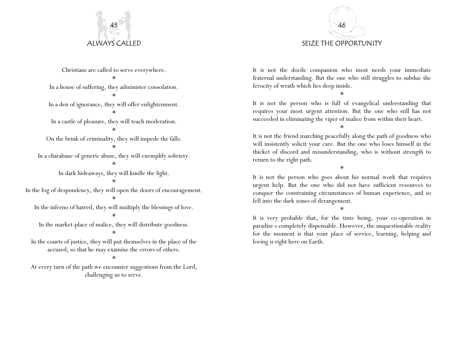

Christians are called to serve everywhere. \* In a house of suffering, they administer consolation. \* In a den of ignorance, they will offer enlightenment. \* In a castle of pleasure, they will teach moderation. \* On the brink of criminality, they will impede the falls. \* In a charabanc of generic abuse, they will exemplify sobriety. \* In dark hideaways, they will kindle the light. \* In the fog of despondency, they will open the doors of encouragement. \* In the inferno of hatred, they will multiply the blessings of love. \* In the market-place of malice, they will distribute goodness. \* In the courts of justice, they will put themselves in the place of the accused, so that he may examine the errors of others. \*

At every turn of the path we encounter suggestions from the Lord, challenging us to serve.



It is not the docile companion who most needs your immediate fraternal understanding. But the one who still struggles to subdue the ferocity of wrath which lies deep inside.

\*

It is not the person who is full of evangelical understanding that requires your most urgent attention. But the one who still has not succeeded in eliminating the viper of malice from within their heart.

\*

It is not the friend marching peacefully along the path of goodness who will insistently solicit your care. But the one who loses himself in the thicket of discord and misunderstanding, who is without strength to return to the right path.

\*

It is not the person who goes about his normal work that requires urgent help. But the one who did not have sufficient resources to conquer the constraining circumstances of human experience, and so fell into the dark zones of derangement.

\*

It is very probable that, for the time being, your co-operation in paradise s completely dispensable. However, the unquestionable reality for the moment is that your place of service, learning, helping and loving is right here on Earth.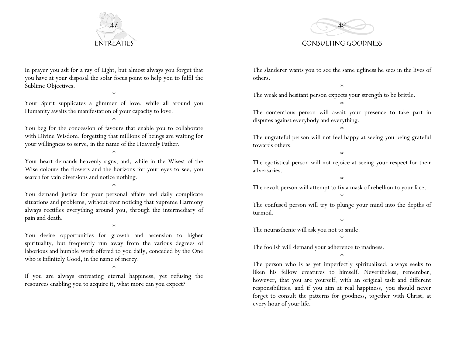



In prayer you ask for a ray of Light, but almost always you forget that you have at your disposal the solar focus point to help you to fulfil the Sublime Objectives.

\*

Your Spirit supplicates a glimmer of love, while all around you Humanity awaits the manifestation of your capacity to love.

\*

You beg for the concession of favours that enable you to collaborate with Divine Wisdom, forgetting that millions of beings are waiting for your willingness to serve, in the name of the Heavenly Father.

\*

Your heart demands heavenly signs, and, while in the Wisest of the Wise colours the flowers and the horizons for your eyes to see, you search for vain diversions and notice nothing.

\*

You demand justice for your personal affairs and daily complicate situations and problems, without ever noticing that Supreme Harmony always rectifies everything around you, through the intermediary of pain and death.

#### \*

You desire opportunities for growth and ascension to higher spirituality, but frequently run away from the various degrees of laborious and humble work offered to you daily, conceded by the One who is Infinitely Good, in the name of mercy.

\*

If you are always entreating eternal happiness, yet refusing the resources enabling you to acquire it, what more can you expect?

The slanderer wants you to see the same ugliness he sees in the lives of others.

\*

The weak and hesitant person expects your strength to be brittle.

The contentious person will await your presence to take part in disputes against everybody and everything.

\*

\*

The ungrateful person will not feel happy at seeing you being grateful towards others.

\*

The egotistical person will not rejoice at seeing your respect for their adversaries.

\*

The revolt person will attempt to fix a mask of rebellion to your face.

\*

The confused person will try to plunge your mind into the depths of turmoil.

\*

The neurasthenic will ask you not to smile.

\*

The foolish will demand your adherence to madness.

\*

The person who is as yet imperfectly spiritualized, always seeks to liken his fellow creatures to himself. Nevertheless, remember, however, that you are yourself, with an original task and different responsibilities, and if you aim at real happiness, you should never forget to consult the patterns for goodness, together with Christ, at every hour of your life.